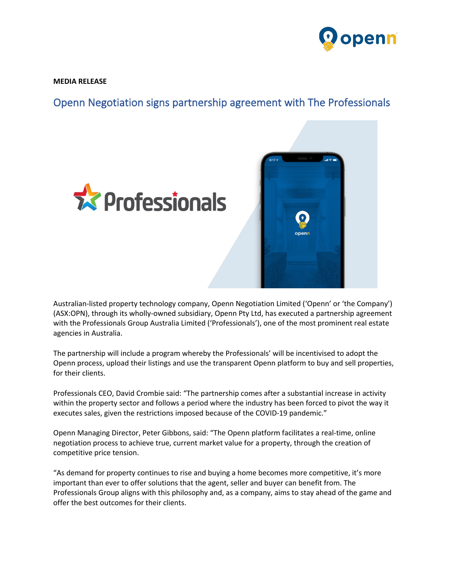

**MEDIA RELEASE**

Openn Negotiation signs partnership agreement with The Professionals



Australian-listed property technology company, Openn Negotiation Limited ('Openn' or 'the Company') (ASX:OPN), through its wholly-owned subsidiary, Openn Pty Ltd, has executed a partnership agreement with the Professionals Group Australia Limited ('Professionals'), one of the most prominent real estate agencies in Australia.

The partnership will include a program whereby the Professionals' will be incentivised to adopt the Openn process, upload their listings and use the transparent Openn platform to buy and sell properties, for their clients.

Professionals CEO, David Crombie said: "The partnership comes after a substantial increase in activity within the property sector and follows a period where the industry has been forced to pivot the way it executes sales, given the restrictions imposed because of the COVID-19 pandemic."

Openn Managing Director, Peter Gibbons, said: "The Openn platform facilitates a real-time, online negotiation process to achieve true, current market value for a property, through the creation of competitive price tension.

"As demand for property continues to rise and buying a home becomes more competitive, it's more important than ever to offer solutions that the agent, seller and buyer can benefit from. The Professionals Group aligns with this philosophy and, as a company, aims to stay ahead of the game and offer the best outcomes for their clients.